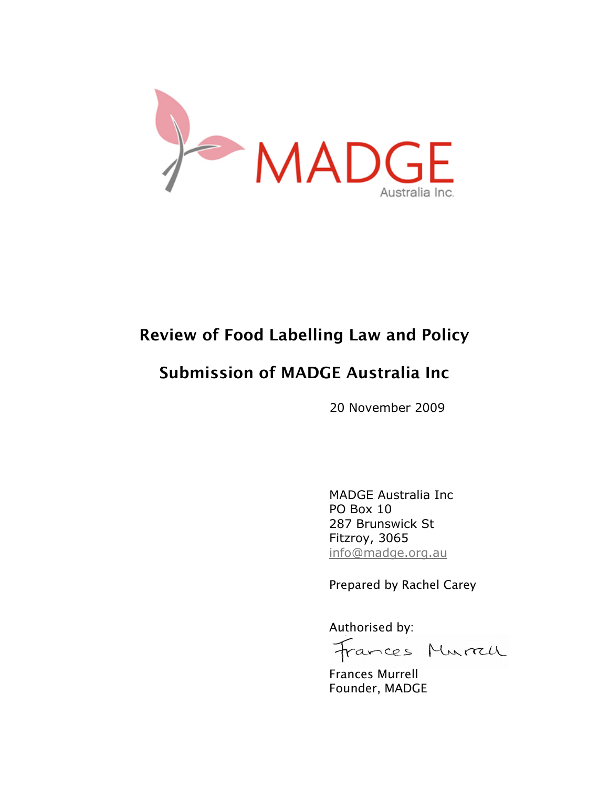

# Review of Food Labelling Law and Policy

# Submission of MADGE Australia Inc

20 November 2009

MADGE Australia Inc PO Box 10 287 Brunswick St Fitzroy, 3065 info@madge.org.au

Prepared by Rachel Carey

Authorised by:

Frances Murrell

Frances Murrell Founder, MADGE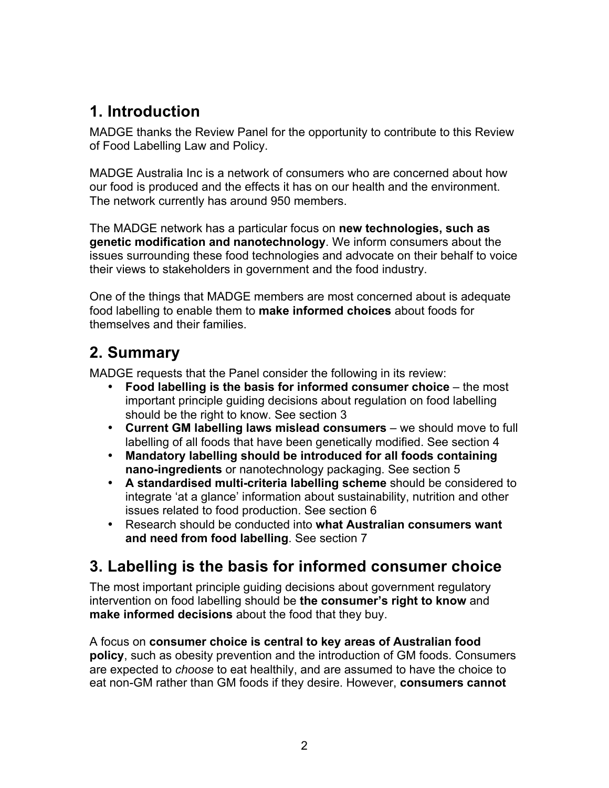# **1. Introduction**

MADGE thanks the Review Panel for the opportunity to contribute to this Review of Food Labelling Law and Policy.

MADGE Australia Inc is a network of consumers who are concerned about how our food is produced and the effects it has on our health and the environment. The network currently has around 950 members.

The MADGE network has a particular focus on **new technologies, such as genetic modification and nanotechnology**. We inform consumers about the issues surrounding these food technologies and advocate on their behalf to voice their views to stakeholders in government and the food industry.

One of the things that MADGE members are most concerned about is adequate food labelling to enable them to **make informed choices** about foods for themselves and their families.

## **2. Summary**

MADGE requests that the Panel consider the following in its review:

- **Food labelling is the basis for informed consumer choice** the most important principle guiding decisions about regulation on food labelling should be the right to know. See section 3
- **Current GM labelling laws mislead consumers** we should move to full labelling of all foods that have been genetically modified. See section 4
- **Mandatory labelling should be introduced for all foods containing nano-ingredients** or nanotechnology packaging. See section 5
- **A standardised multi-criteria labelling scheme** should be considered to integrate 'at a glance' information about sustainability, nutrition and other issues related to food production. See section 6
- Research should be conducted into **what Australian consumers want and need from food labelling**. See section 7

# **3. Labelling is the basis for informed consumer choice**

The most important principle guiding decisions about government regulatory intervention on food labelling should be **the consumer's right to know** and **make informed decisions** about the food that they buy.

A focus on **consumer choice is central to key areas of Australian food policy**, such as obesity prevention and the introduction of GM foods. Consumers are expected to *choose* to eat healthily, and are assumed to have the choice to eat non-GM rather than GM foods if they desire. However, **consumers cannot**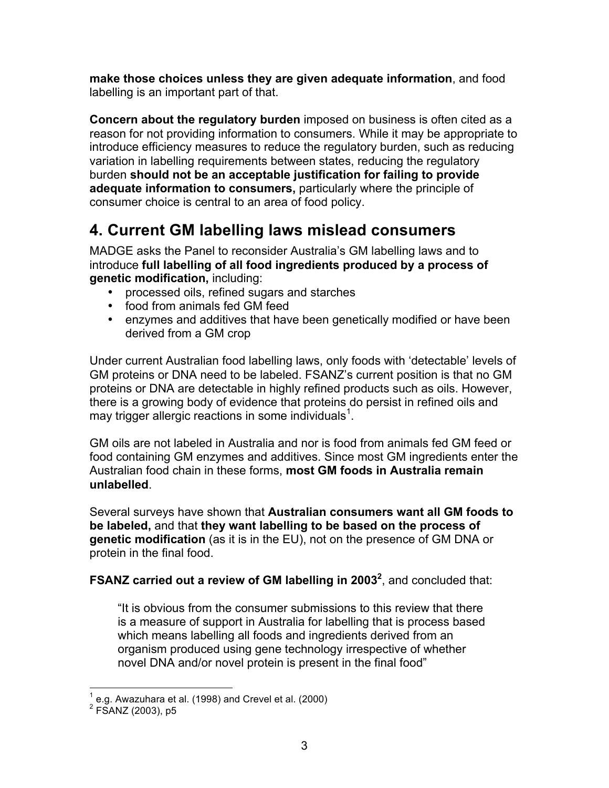**make those choices unless they are given adequate information**, and food labelling is an important part of that.

**Concern about the regulatory burden** imposed on business is often cited as a reason for not providing information to consumers. While it may be appropriate to introduce efficiency measures to reduce the regulatory burden, such as reducing variation in labelling requirements between states, reducing the regulatory burden **should not be an acceptable justification for failing to provide adequate information to consumers,** particularly where the principle of consumer choice is central to an area of food policy.

## **4. Current GM labelling laws mislead consumers**

MADGE asks the Panel to reconsider Australia's GM labelling laws and to introduce **full labelling of all food ingredients produced by a process of genetic modification,** including:

- processed oils, refined sugars and starches
- food from animals fed GM feed
- enzymes and additives that have been genetically modified or have been derived from a GM crop

Under current Australian food labelling laws, only foods with 'detectable' levels of GM proteins or DNA need to be labeled. FSANZ's current position is that no GM proteins or DNA are detectable in highly refined products such as oils. However, there is a growing body of evidence that proteins do persist in refined oils and may trigger allergic reactions in some individuals<sup>1</sup>.

GM oils are not labeled in Australia and nor is food from animals fed GM feed or food containing GM enzymes and additives. Since most GM ingredients enter the Australian food chain in these forms, **most GM foods in Australia remain unlabelled**.

Several surveys have shown that **Australian consumers want all GM foods to be labeled,** and that **they want labelling to be based on the process of genetic modification** (as it is in the EU), not on the presence of GM DNA or protein in the final food.

#### FSANZ carried out a review of GM labelling in 2003<sup>2</sup>, and concluded that:

"It is obvious from the consumer submissions to this review that there is a measure of support in Australia for labelling that is process based which means labelling all foods and ingredients derived from an organism produced using gene technology irrespective of whether novel DNA and/or novel protein is present in the final food"

 $\frac{1}{1}$ e.g. Awazuhara et al. (1998) and Crevel et al. (2000)

 $2$  FSANZ (2003), p5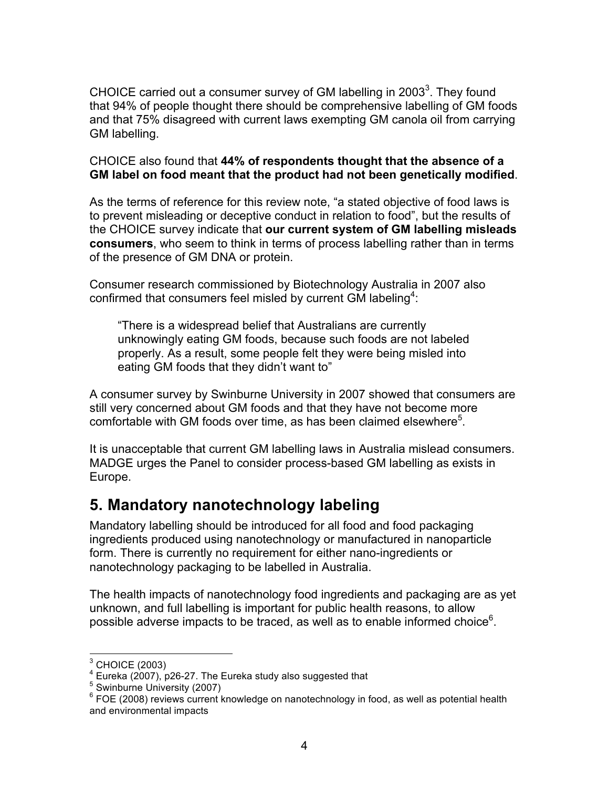CHOICE carried out a consumer survey of GM labelling in 2003 $^3$ . They found that 94% of people thought there should be comprehensive labelling of GM foods and that 75% disagreed with current laws exempting GM canola oil from carrying GM labelling.

CHOICE also found that **44% of respondents thought that the absence of a GM label on food meant that the product had not been genetically modified**.

As the terms of reference for this review note, "a stated objective of food laws is to prevent misleading or deceptive conduct in relation to food", but the results of the CHOICE survey indicate that **our current system of GM labelling misleads consumers**, who seem to think in terms of process labelling rather than in terms of the presence of GM DNA or protein.

Consumer research commissioned by Biotechnology Australia in 2007 also confirmed that consumers feel misled by current GM labeling<sup>4</sup>:

"There is a widespread belief that Australians are currently unknowingly eating GM foods, because such foods are not labeled properly. As a result, some people felt they were being misled into eating GM foods that they didn't want to"

A consumer survey by Swinburne University in 2007 showed that consumers are still very concerned about GM foods and that they have not become more comfortable with GM foods over time, as has been claimed elsewhere<sup>5</sup>.

It is unacceptable that current GM labelling laws in Australia mislead consumers. MADGE urges the Panel to consider process-based GM labelling as exists in Europe.

## **5. Mandatory nanotechnology labeling**

Mandatory labelling should be introduced for all food and food packaging ingredients produced using nanotechnology or manufactured in nanoparticle form. There is currently no requirement for either nano-ingredients or nanotechnology packaging to be labelled in Australia.

The health impacts of nanotechnology food ingredients and packaging are as yet unknown, and full labelling is important for public health reasons, to allow possible adverse impacts to be traced, as well as to enable informed choice<sup>6</sup>.

 <sup>3</sup> CHOICE (2003)

 $^4$  Eureka (2007), p26-27. The Eureka study also suggested that  $^5$ 

<sup>&</sup>lt;sup>5</sup> Swinburne University (2007)

<sup>&</sup>lt;sup>6</sup> FOE (2008) reviews current knowledge on nanotechnology in food, as well as potential health and environmental impacts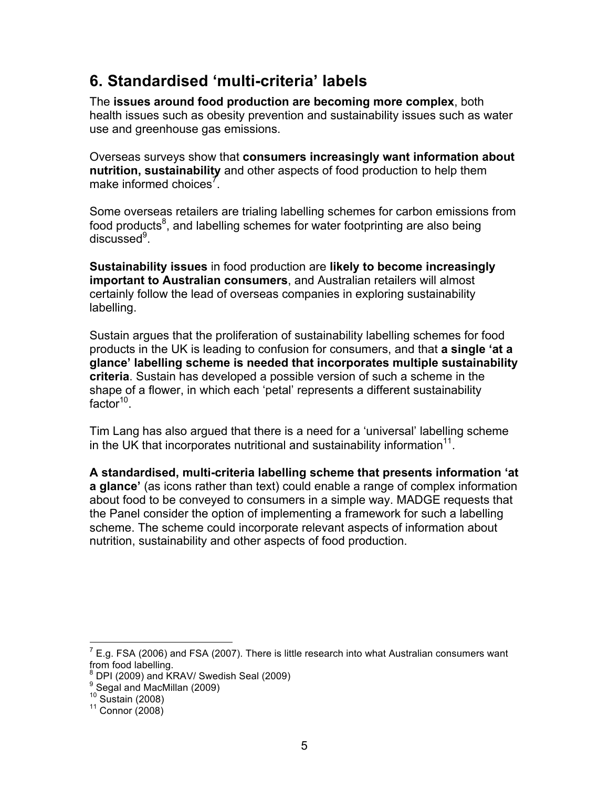## **6. Standardised 'multi-criteria' labels**

The **issues around food production are becoming more complex**, both health issues such as obesity prevention and sustainability issues such as water use and greenhouse gas emissions.

Overseas surveys show that **consumers increasingly want information about nutrition, sustainability** and other aspects of food production to help them make informed choices<sup>7</sup>.

Some overseas retailers are trialing labelling schemes for carbon emissions from food products $8$ , and labelling schemes for water footprinting are also being discussed<sup>9</sup>.

**Sustainability issues** in food production are **likely to become increasingly important to Australian consumers**, and Australian retailers will almost certainly follow the lead of overseas companies in exploring sustainability labelling.

Sustain argues that the proliferation of sustainability labelling schemes for food products in the UK is leading to confusion for consumers, and that **a single 'at a glance' labelling scheme is needed that incorporates multiple sustainability criteria**. Sustain has developed a possible version of such a scheme in the shape of a flower, in which each 'petal' represents a different sustainability  $factor<sup>10</sup>$ .

Tim Lang has also argued that there is a need for a 'universal' labelling scheme in the UK that incorporates nutritional and sustainability information $11$ .

**A standardised, multi-criteria labelling scheme that presents information 'at a glance'** (as icons rather than text) could enable a range of complex information about food to be conveyed to consumers in a simple way. MADGE requests that the Panel consider the option of implementing a framework for such a labelling scheme. The scheme could incorporate relevant aspects of information about nutrition, sustainability and other aspects of food production.

<sup>————————————————————&</sup>lt;br><sup>7</sup> E.g. FSA (2006) and FSA (2007). There is little research into what Australian consumers want from food labelling.

 $^8$  DPI (2009) and KRAV/ Swedish Seal (2009)<br><sup>9</sup> Searl and MacMillan (2000)

 $\frac{9}{10}$  Segal and MacMillan (2009)<br> $\frac{10}{10}$  Sustain (2008)

 $11$  Connor (2008)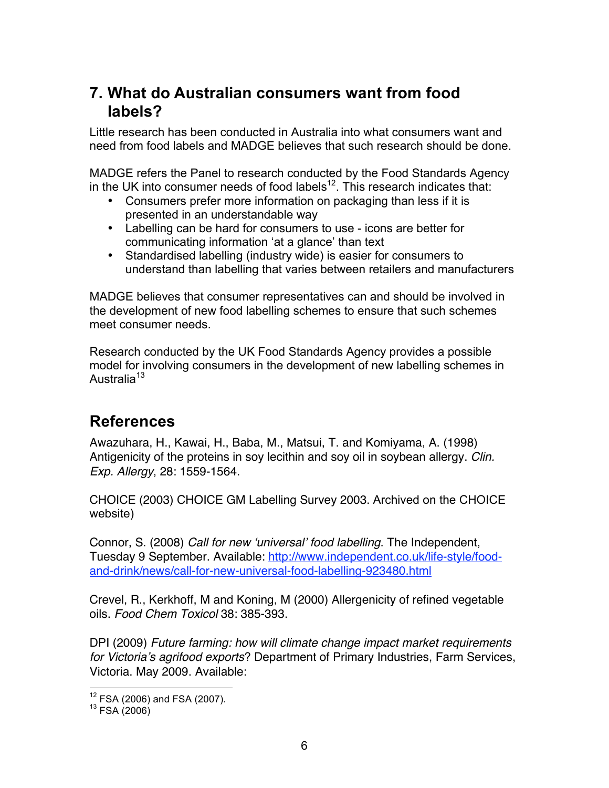### **7. What do Australian consumers want from food labels?**

Little research has been conducted in Australia into what consumers want and need from food labels and MADGE believes that such research should be done.

MADGE refers the Panel to research conducted by the Food Standards Agency in the UK into consumer needs of food labels<sup>12</sup>. This research indicates that:

- Consumers prefer more information on packaging than less if it is presented in an understandable way
- Labelling can be hard for consumers to use icons are better for communicating information 'at a glance' than text
- Standardised labelling (industry wide) is easier for consumers to understand than labelling that varies between retailers and manufacturers

MADGE believes that consumer representatives can and should be involved in the development of new food labelling schemes to ensure that such schemes meet consumer needs.

Research conducted by the UK Food Standards Agency provides a possible model for involving consumers in the development of new labelling schemes in Australia<sup>13</sup>

## **References**

Awazuhara, H., Kawai, H., Baba, M., Matsui, T. and Komiyama, A. (1998) Antigenicity of the proteins in soy lecithin and soy oil in soybean allergy. *Clin. Exp. Allergy*, 28: 1559-1564.

CHOICE (2003) CHOICE GM Labelling Survey 2003. Archived on the CHOICE website)

Connor, S. (2008) *Call for new* ʻ*universal*' *food labelling*. The Independent, Tuesday 9 September. Available: http://www.independent.co.uk/life-style/foodand-drink/news/call-for-new-universal-food-labelling-923480.html

Crevel, R., Kerkhoff, M and Koning, M (2000) Allergenicity of refined vegetable oils. *Food Chem Toxicol* 38: 385-393.

DPI (2009) *Future farming: how will climate change impact market requirements for Victoria*'*s agrifood exports*? Department of Primary Industries, Farm Services, Victoria. May 2009. Available:

 $^{12}$  FSA (2006) and FSA (2007).<br> $^{13}$  FSA (2006)